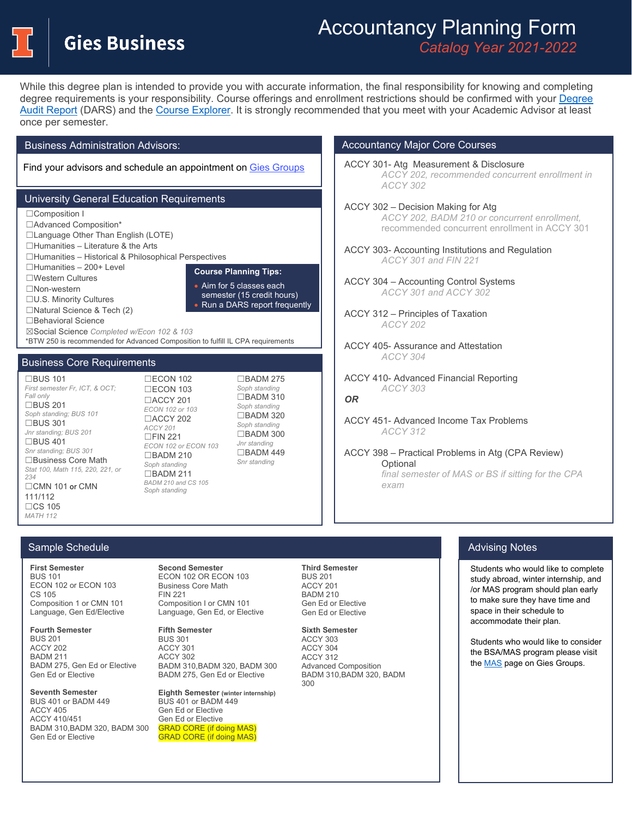**Gies Business** 

# Accountancy Planning Form *Catalog Year 2021-2022*

While this degree plan is intended to provide you with accurate information, the final responsibility for knowing and completing degree requirements is your responsibility. Course offerings and enrollment restrictions should be confirmed with your [Degree](https://registrar.illinois.edu/academic-records/dars-audit/)  [Audit Report](https://registrar.illinois.edu/academic-records/dars-audit/) (DARS) and the [Course Explorer.](https://courses.illinois.edu/) It is strongly recommended that you meet with your Academic Advisor at least once per semester.

Business Administration Advisors:

Find your advisors and schedule an appointment on Gies [Groups](https://giesgroups.illinois.edu/advising/schedule-an-appointment/)

# University General Education Requirements

☐Composition I ☐Advanced Composition\* ☐Language Other Than English (LOTE) ☐Humanities – Literature & the Arts ☐Humanities – Historical & Philosophical Perspectives ☐Humanities – 200+ Level ☐Western Cultures ☐Non-western ☐U.S. Minority Cultures ☐Natural Science & Tech (2) ☐Behavioral Science ☒Social Science *Completed w/Econ 102 & 103* \*BTW 250 is recommended for Advanced Composition to fulfill IL CPA requirements **Course Planning Tips:** • Aim for 5 classes each semester (15 credit hours) • Run a DARS report frequently

## Business Core Requirements

☐BUS 101 *First semester Fr, ICT, & OCT; Fall only* ☐BUS 201 *Soph standing; BUS 101*  $\Box$ BUS 301 *Jnr standing; BUS 201* ☐BUS 401 *Snr standing; BUS 301* ☐Business Core Math *Stat 100, Math 115, 220, 221, or 234* ☐CMN 101 or CMN 111/112 ☐CS 105 *MATH 112*

☐ECON 102 ☐ECON 103 ☐ACCY 201 *ECON 102 or 103*  ☐ACCY 202 *ACCY 201*   $\Box$ FIN 221 *ECON 102 or ECON 103* ☐BADM 210 *Soph standing* ☐BADM 211 *BADM 210 and CS 105 Soph standing*

☐BADM 275 *Soph standing* ☐BADM 310 *Soph standing*  $\overline{\text{DBADM}}$  320 *Soph standing* ☐BADM 300 *Jnr standing* ☐BADM 449 *Snr standing*

## Accountancy Major Core Courses

ACCY 301- Atg Measurement & Disclosure *ACCY 202, recommended concurrent enrollment in ACCY 302*

# ACCY 302 – Decision Making for Atg

*ACCY 202, BADM 210 or concurrent enrollment,* recommended concurrent enrollment in ACCY 301

ACCY 303- Accounting Institutions and Regulation *ACCY 301 and FIN 221*

ACCY 304 – Accounting Control Systems *ACCY 301 and ACCY 302*

ACCY 312 – Principles of Taxation *ACCY 202*

ACCY 405- Assurance and Attestation *ACCY 304*

ACCY 410- Advanced Financial Reporting *ACCY 303 OR*

ACCY 451- Advanced Income Tax Problems *ACCY 312*

ACCY 398 – Practical Problems in Atg (CPA Review) **Optional** *final semester of MAS or BS if sitting for the CPA exam*

#### $\sim$  Courses Sample Schedule

**First Semester** BUS 101 ECON 102 or ECON 103 CS 105 Composition 1 or CMN 101 Language, Gen Ed/Elective

**Fourth Semester**  BUS 201 ACCY 202 BADM 211 BADM 275, Gen Ed or Elective Gen Ed or Elective

**Seventh Semester** BUS 401 or BADM 449 ACCY 405 ACCY 410/451 BADM 310,BADM 320, BADM 300 Gen Ed or Elective

**Second Semester**  ECON 102 OR ECON 103 Business Core Math FIN 221 Composition I or CMN 101 Language, Gen Ed, or Elective

**Fifth Semester** BUS 301 ACCY 301 ACCY 302 BADM 310,BADM 320, BADM 300 BADM 275, Gen Ed or Elective

**Eighth Semester (winter internship)** BUS 401 or BADM 449 Gen Ed or Elective Gen Ed or Elective GRAD CORE (if doing MAS) GRAD CORE (if doing MAS)

**Third Semester**  BUS 201 ACCY 201 **BADM 210** Gen Ed or Elective Gen Ed or Elective

**Sixth Semester**  ACCY 303 ACCY 304 ACCY 312 Advanced Composition BADM 310,BADM 320, BADM 300

## Advising Notes

Students who would like to complete study abroad, winter internship, and /or MAS program should plan early to make sure they have time and space in their schedule to accommodate their plan.

Students who would like to consider the BSA/MAS program please visit th[e MAS p](https://giesgroups.illinois.edu/accy/mas/)age on Gies Groups.